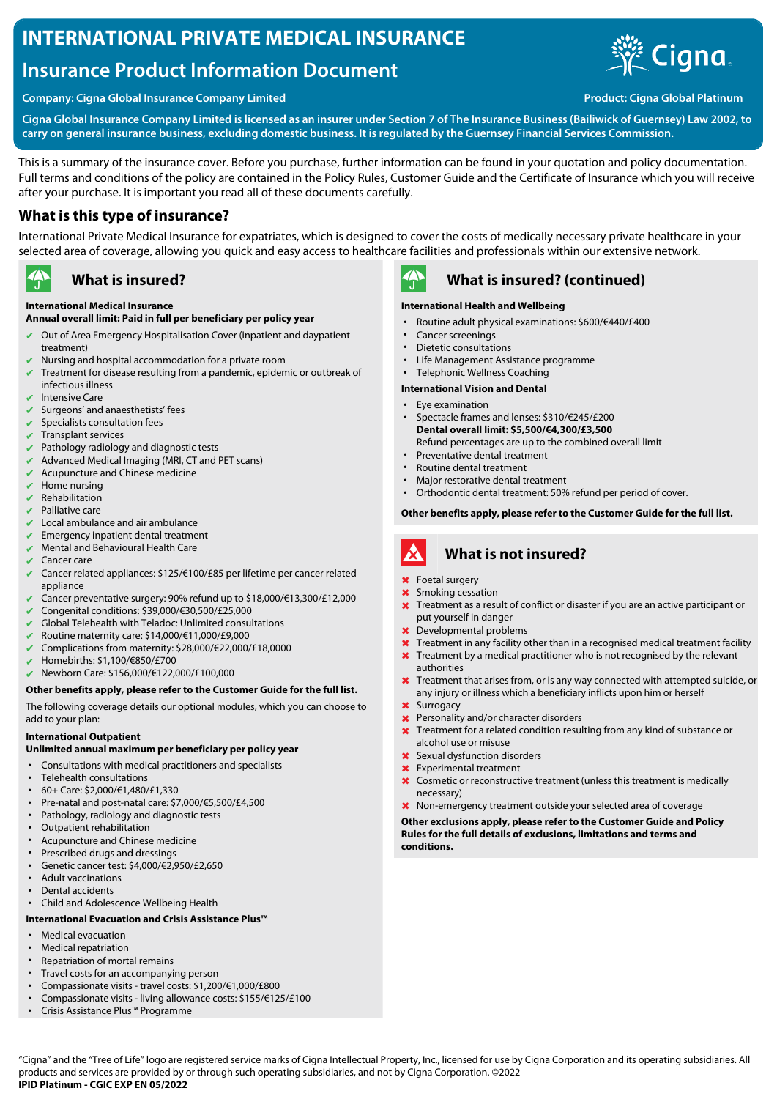# **INTERNATIONAL PRIVATE MEDICAL INSURANCE**

# **Insurance Product Information Document**





**Cigna Global Insurance Company Limited is licensed as an insurer under Section 7 of The Insurance Business (Bailiwick of Guernsey) Law 2002, to carry on general insurance business, excluding domestic business. It is regulated by the Guernsey Financial Services Commission.**

This is a summary of the insurance cover. Before you purchase, further information can be found in your quotation and policy documentation. Full terms and conditions of the policy are contained in the Policy Rules, Customer Guide and the Certificate of Insurance which you will receive after your purchase. It is important you read all of these documents carefully.

### **What is this type of insurance?**

International Private Medical Insurance for expatriates, which is designed to cover the costs of medically necessary private healthcare in your selected area of coverage, allowing you quick and easy access to healthcare facilities and professionals within our extensive network.

#### $\rightarrow$ **What is insured?**

### **International Medical Insurance**

### **Annual overall limit: Paid in full per beneficiary per policy year**

- ✔ Out of Area Emergency Hospitalisation Cover (inpatient and daypatient treatment)
- Nursing and hospital accommodation for a private room
- Treatment for disease resulting from a pandemic, epidemic or outbreak of infectious illness
- $\overline{\smash{\checkmark}}$  Intensive Care
- Surgeons' and anaesthetists' fees
- $\vee$  Specialists consultation fees
- ✔ Transplant services
- Pathology radiology and diagnostic tests
- Advanced Medical Imaging (MRI, CT and PET scans)
- $\vee$  Acupuncture and Chinese medicine
- Home nursing
- **Rehabilitation**
- $\triangleright$  Palliative care
- Local ambulance and air ambulance
- Emergency inpatient dental treatment
- Mental and Behavioural Health Care
- Cancer care
- ✔ Cancer related appliances: \$125/€100/£85 per lifetime per cancer related appliance
- ✔ Cancer preventative surgery: 90% refund up to \$18,000/€13,300/£12,000
- ✔ Congenital conditions: \$39,000/€30,500/£25,000
- Global Telehealth with Teladoc: Unlimited consultations
- ✔ Routine maternity care: \$14,000/€11,000/£9,000
- ✔ Complications from maternity: \$28,000/€22,000/£18,0000
- ✔ Homebirths: \$1,100/€850/£700
- ✔ Newborn Care: \$156,000/€122,000/£100,000

#### **Other benefits apply, please refer to the Customer Guide for the full list.**

The following coverage details our optional modules, which you can choose to add to your plan:

#### **International Outpatient**

#### **Unlimited annual maximum per beneficiary per policy year**

- Consultations with medical practitioners and specialists
- Telehealth consultations
- 60+ Care: \$2,000/€1,480/£1,330
- Pre-natal and post-natal care: \$7,000/€5,500/£4,500
- Pathology, radiology and diagnostic tests
- Outpatient rehabilitation
- Acupuncture and Chinese medicine
- Prescribed drugs and dressings
- Genetic cancer test: \$4,000/€2,950/£2,650
- Adult vaccinations • Dental accidents
- Child and Adolescence Wellbeing Health

#### **International Evacuation and Crisis Assistance Plus™**

- Medical evacuation
- Medical repatriation
- Repatriation of mortal remains
- Travel costs for an accompanying person
- Compassionate visits travel costs: \$1,200/€1,000/£800
- Compassionate visits living allowance costs: \$155/€125/£100
- Crisis Assistance Plus™ Programme



### **What is insured? (continued)**

#### **International Health and Wellbeing**

- Routine adult physical examinations: \$600/€440/£400
- Cancer screenings
- Dietetic consultations
- Life Management Assistance programme
- Telephonic Wellness Coaching

#### **International Vision and Dental**

- Eye examination • Spectacle frames and lenses: \$310/€245/£200
- **Dental overall limit: \$5,500/€4,300/£3,500** Refund percentages are up to the combined overall limit
- Preventative dental treatment
- Routine dental treatment<br>• Major restorative dental t
- Major restorative dental treatment
- Orthodontic dental treatment: 50% refund per period of cover.

#### **Other benefits apply, please refer to the Customer Guide for the full list.**

#### A **What is not insured?**

- ✖ Foetal surgery
- Smoking cessation
- ✖ Treatment as a result of conflict or disaster if you are an active participant or put yourself in danger
- Developmental problems
- **X** Treatment in any facility other than in a recognised medical treatment facility **X** Treatment by a medical practitioner who is not recognised by the relevant
- authorities
- ✖ Treatment that arises from, or is any way connected with attempted suicide, or any injury or illness which a beneficiary inflicts upon him or herself
- ✖ Surrogacy
- **X** Personality and/or character disorders
- ✖ Treatment for a related condition resulting from any kind of substance or alcohol use or misuse
- ✖ Sexual dysfunction disorders
- ✖ Experimental treatment
- ✖ Cosmetic or reconstructive treatment (unless this treatment is medically necessary)
- ✖ Non-emergency treatment outside your selected area of coverage

**Other exclusions apply, please refer to the Customer Guide and Policy Rules for the full details of exclusions, limitations and terms and conditions.**

"Cigna" and the "Tree of Life" logo are registered service marks of Cigna Intellectual Property, Inc., licensed for use by Cigna Corporation and its operating subsidiaries. All products and services are provided by or through such operating subsidiaries, and not by Cigna Corporation. ©2022 **IPID Platinum - CGIC EXP EN 05/2022**